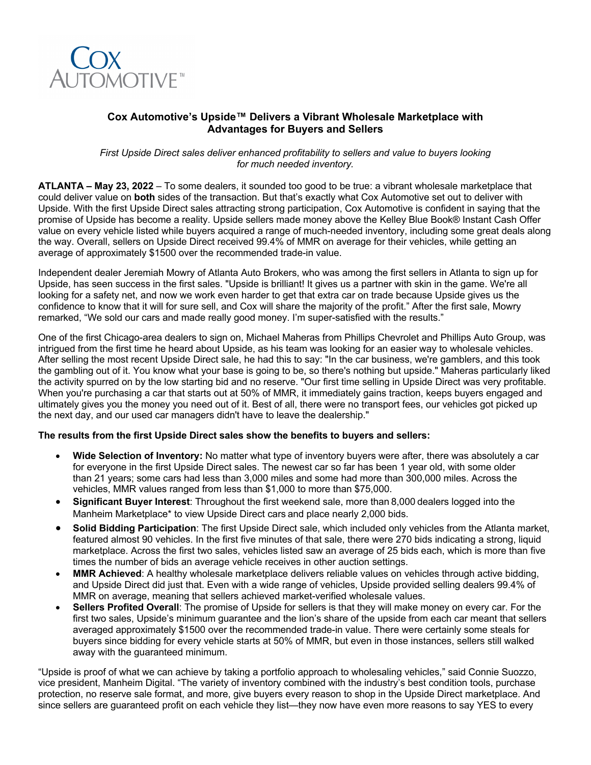

# **Cox Automotive's Upside™ Delivers a Vibrant Wholesale Marketplace with Advantages for Buyers and Sellers**

*First Upside Direct sales deliver enhanced profitability to sellers and value to buyers looking for much needed inventory.*

**ATLANTA – May 23, 2022** – To some dealers, it sounded too good to be true: a vibrant wholesale marketplace that could deliver value on **both** sides of the transaction. But that's exactly what Cox Automotive set out to deliver with Upside. With the first Upside Direct sales attracting strong participation, Cox Automotive is confident in saying that the promise of Upside has become a reality. Upside sellers made money above the Kelley Blue Book® Instant Cash Offer value on every vehicle listed while buyers acquired a range of much-needed inventory, including some great deals along the way. Overall, sellers on Upside Direct received 99.4% of MMR on average for their vehicles, while getting an average of approximately \$1500 over the recommended trade-in value.

Independent dealer Jeremiah Mowry of Atlanta Auto Brokers, who was among the first sellers in Atlanta to sign up for Upside, has seen success in the first sales. "Upside is brilliant! It gives us a partner with skin in the game. We're all looking for a safety net, and now we work even harder to get that extra car on trade because Upside gives us the confidence to know that it will for sure sell, and Cox will share the majority of the profit." After the first sale, Mowry remarked, "We sold our cars and made really good money. I'm super-satisfied with the results."

One of the first Chicago-area dealers to sign on, Michael Maheras from Phillips Chevrolet and Phillips Auto Group, was intrigued from the first time he heard about Upside, as his team was looking for an easier way to wholesale vehicles. After selling the most recent Upside Direct sale, he had this to say: "In the car business, we're gamblers, and this took the gambling out of it. You know what your base is going to be, so there's nothing but upside." Maheras particularly liked the activity spurred on by the low starting bid and no reserve. "Our first time selling in Upside Direct was very profitable. When you're purchasing a car that starts out at 50% of MMR, it immediately gains traction, keeps buyers engaged and ultimately gives you the money you need out of it. Best of all, there were no transport fees, our vehicles got picked up the next day, and our used car managers didn't have to leave the dealership."

## **The results from the first Upside Direct sales show the benefits to buyers and sellers:**

- **Wide Selection of Inventory:** No matter what type of inventory buyers were after, there was absolutely a car for everyone in the first Upside Direct sales. The newest car so far has been 1 year old, with some older than 21 years; some cars had less than 3,000 miles and some had more than 300,000 miles. Across the vehicles, MMR values ranged from less than \$1,000 to more than \$75,000.
- **Significant Buyer Interest**: Throughout the first weekend sale, more than 8,000 dealers logged into the Manheim Marketplace\* to view Upside Direct cars and place nearly 2,000 bids.
- **Solid Bidding Participation**: The first Upside Direct sale, which included only vehicles from the Atlanta market, featured almost 90 vehicles. In the first five minutes of that sale, there were 270 bids indicating a strong, liquid marketplace. Across the first two sales, vehicles listed saw an average of 25 bids each, which is more than five times the number of bids an average vehicle receives in other auction settings.
- **MMR Achieved**: A healthy wholesale marketplace delivers reliable values on vehicles through active bidding, and Upside Direct did just that. Even with a wide range of vehicles, Upside provided selling dealers 99.4% of MMR on average, meaning that sellers achieved market-verified wholesale values.
- **Sellers Profited Overall**: The promise of Upside for sellers is that they will make money on every car. For the first two sales, Upside's minimum guarantee and the lion's share of the upside from each car meant that sellers averaged approximately \$1500 over the recommended trade-in value. There were certainly some steals for buyers since bidding for every vehicle starts at 50% of MMR, but even in those instances, sellers still walked away with the guaranteed minimum.

"Upside is proof of what we can achieve by taking a portfolio approach to wholesaling vehicles," said Connie Suozzo, vice president, Manheim Digital. "The variety of inventory combined with the industry's best condition tools, purchase protection, no reserve sale format, and more, give buyers every reason to shop in the Upside Direct marketplace. And since sellers are guaranteed profit on each vehicle they list—they now have even more reasons to say YES to every